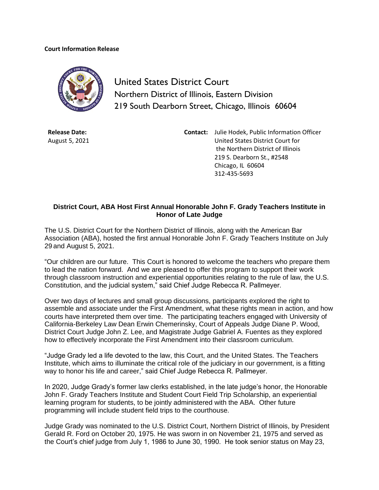## **Court Information Release**



United States District Court Northern District of Illinois, Eastern Division 219 South Dearborn Street, Chicago, Illinois 60604

**Release Date:** August 5, 2021 **Contact:** Julie Hodek, Public Information Officer United States District Court for the Northern District of Illinois 219 S. Dearborn St., #2548 Chicago, IL 60604 312-435-5693

## **District Court, ABA Host First Annual Honorable John F. Grady Teachers Institute in Honor of Late Judge**

The U.S. District Court for the Northern District of Illinois, along with the American Bar Association (ABA), hosted the first annual Honorable John F. Grady Teachers Institute on July 29 and August 5, 2021.

"Our children are our future. This Court is honored to welcome the teachers who prepare them to lead the nation forward. And we are pleased to offer this program to support their work through classroom instruction and experiential opportunities relating to the rule of law, the U.S. Constitution, and the judicial system," said Chief Judge Rebecca R. Pallmeyer.

Over two days of lectures and small group discussions, participants explored the right to assemble and associate under the First Amendment, what these rights mean in action, and how courts have interpreted them over time. The participating teachers engaged with University of California-Berkeley Law Dean Erwin Chemerinsky, Court of Appeals Judge Diane P. Wood, District Court Judge John Z. Lee, and Magistrate Judge Gabriel A. Fuentes as they explored how to effectively incorporate the First Amendment into their classroom curriculum.

"Judge Grady led a life devoted to the law, this Court, and the United States. The Teachers Institute, which aims to illuminate the critical role of the judiciary in our government, is a fitting way to honor his life and career," said Chief Judge Rebecca R. Pallmeyer.

In 2020, Judge Grady's former law clerks established, in the late judge's honor, the [Honorable](https://fedcourts-my.sharepoint.com/personal/julie_hodek_ilnd_uscourts_gov/Documents/courtroom%20technology%20landing%20pageJH.docx?web=1)  [John F. Grady Teachers Institute and Student Court Field Trip Scholarship,](https://fedcourts-my.sharepoint.com/personal/julie_hodek_ilnd_uscourts_gov/Documents/courtroom%20technology%20landing%20pageJH.docx?web=1) an experiential learning program for students, to be jointly administered with the ABA. Other future programming will include student field trips to the courthouse.

Judge Grady was nominated to the U.S. District Court, Northern District of Illinois, by President Gerald R. Ford on October 20, 1975. He was sworn in on November 21, 1975 and served as the Court's chief judge from July 1, 1986 to June 30, 1990. He took senior status on May 23,